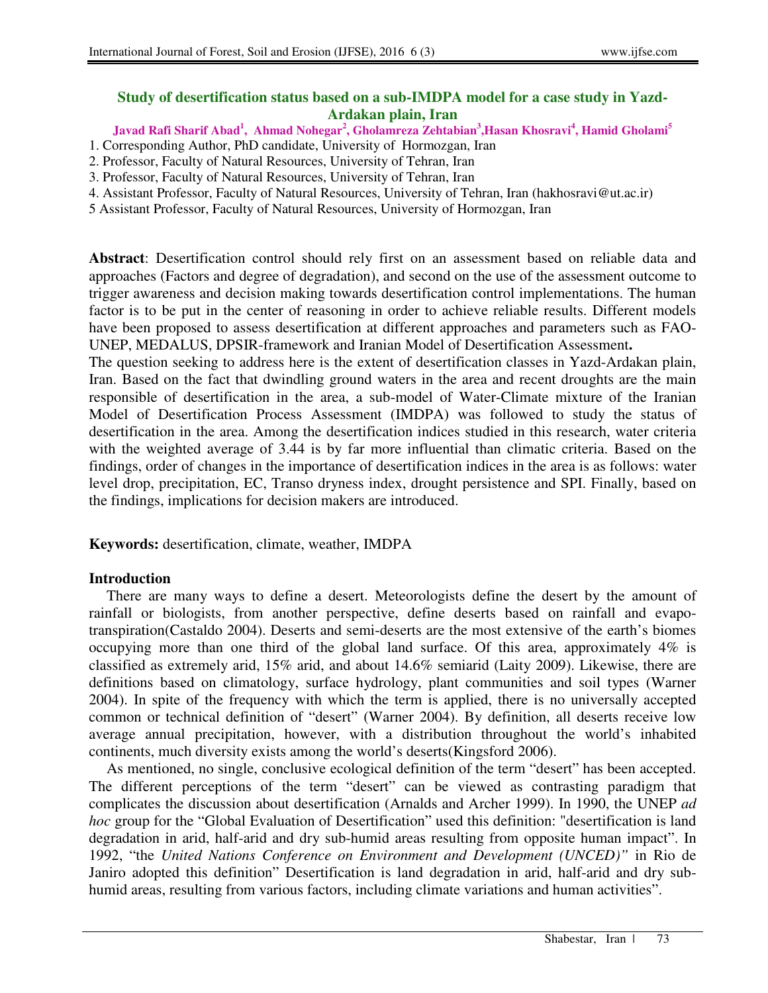## **Study of desertification status based on a sub-IMDPA model for a case study in Yazd-Ardakan plain, Iran**

**Javad Rafi Sharif Abad<sup>1</sup> , Ahmad Nohegar<sup>2</sup> , Gholamreza Zehtabian<sup>3</sup> ,Hasan Khosravi<sup>4</sup> , Hamid Gholami<sup>5</sup>**

- 1. Corresponding Author, PhD candidate, University of Hormozgan, Iran
- 2. Professor, Faculty of Natural Resources, University of Tehran, Iran
- 3. Professor, Faculty of Natural Resources, University of Tehran, Iran
- 4. Assistant Professor, Faculty of Natural Resources, University of Tehran, Iran (hakhosravi@ut.ac.ir)
- 5 Assistant Professor, Faculty of Natural Resources, University of Hormozgan, Iran

**Abstract**: Desertification control should rely first on an assessment based on reliable data and approaches (Factors and degree of degradation), and second on the use of the assessment outcome to trigger awareness and decision making towards desertification control implementations. The human factor is to be put in the center of reasoning in order to achieve reliable results. Different models have been proposed to assess desertification at different approaches and parameters such as FAO-UNEP, MEDALUS, DPSIR-framework and Iranian Model of Desertification Assessment**.** 

The question seeking to address here is the extent of desertification classes in Yazd-Ardakan plain, Iran. Based on the fact that dwindling ground waters in the area and recent droughts are the main responsible of desertification in the area, a sub-model of Water-Climate mixture of the Iranian Model of Desertification Process Assessment (IMDPA) was followed to study the status of desertification in the area. Among the desertification indices studied in this research, water criteria with the weighted average of 3.44 is by far more influential than climatic criteria. Based on the findings, order of changes in the importance of desertification indices in the area is as follows: water level drop, precipitation, EC, Transo dryness index, drought persistence and SPI. Finally, based on the findings, implications for decision makers are introduced.

**Keywords:** desertification, climate, weather, IMDPA

# **Introduction**

There are many ways to define a desert. Meteorologists define the desert by the amount of rainfall or biologists, from another perspective, define deserts based on rainfall and evapotranspiration(Castaldo 2004). Deserts and semi-deserts are the most extensive of the earth's biomes occupying more than one third of the global land surface. Of this area, approximately 4% is classified as extremely arid, 15% arid, and about 14.6% semiarid (Laity 2009). Likewise, there are definitions based on climatology, surface hydrology, plant communities and soil types (Warner 2004). In spite of the frequency with which the term is applied, there is no universally accepted common or technical definition of "desert" (Warner 2004). By definition, all deserts receive low average annual precipitation, however, with a distribution throughout the world's inhabited continents, much diversity exists among the world's deserts(Kingsford 2006).

As mentioned, no single, conclusive ecological definition of the term "desert" has been accepted. The different perceptions of the term "desert" can be viewed as contrasting paradigm that complicates the discussion about desertification (Arnalds and Archer 1999). In 1990, the UNEP *ad hoc* group for the "Global Evaluation of Desertification" used this definition: "desertification is land degradation in arid, half-arid and dry sub-humid areas resulting from opposite human impact". In 1992, "the *United Nations Conference on Environment and Development (UNCED)"* in Rio de Janiro adopted this definition" Desertification is land degradation in arid, half-arid and dry subhumid areas, resulting from various factors, including climate variations and human activities".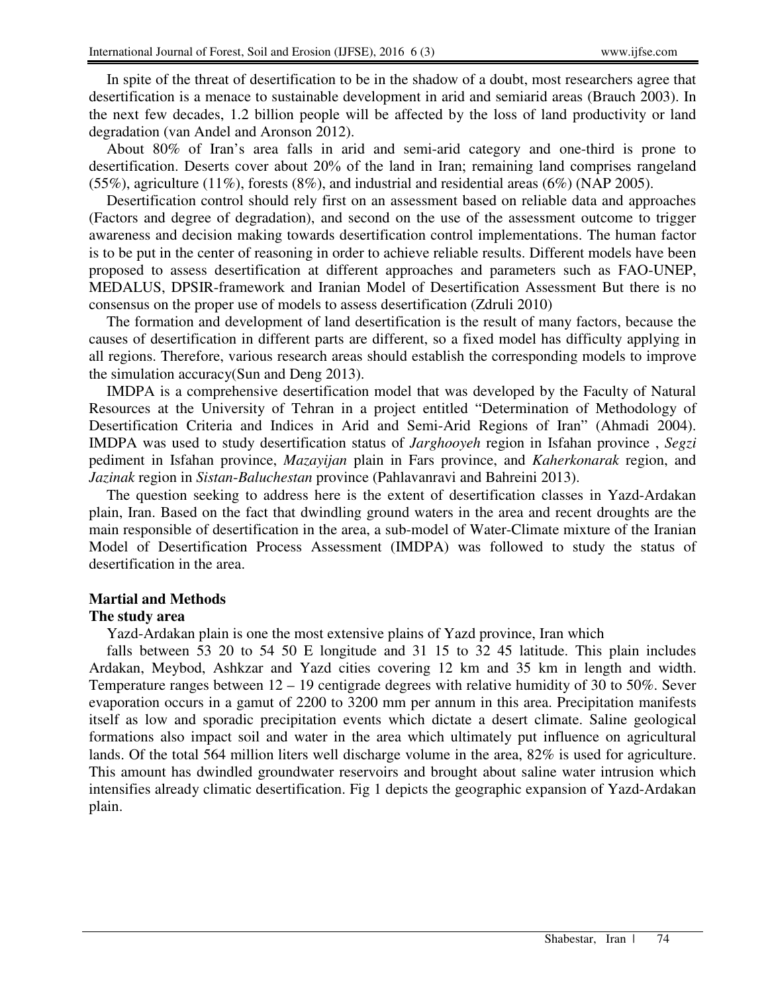In spite of the threat of desertification to be in the shadow of a doubt, most researchers agree that desertification is a menace to sustainable development in arid and semiarid areas (Brauch 2003). In the next few decades, 1.2 billion people will be affected by the loss of land productivity or land degradation (van Andel and Aronson 2012).

About 80% of Iran's area falls in arid and semi-arid category and one-third is prone to desertification. Deserts cover about 20% of the land in Iran; remaining land comprises rangeland  $(55\%)$ , agriculture  $(11\%)$ , forests  $(8\%)$ , and industrial and residential areas  $(6\%)$  (NAP 2005).

Desertification control should rely first on an assessment based on reliable data and approaches (Factors and degree of degradation), and second on the use of the assessment outcome to trigger awareness and decision making towards desertification control implementations. The human factor is to be put in the center of reasoning in order to achieve reliable results. Different models have been proposed to assess desertification at different approaches and parameters such as FAO-UNEP, MEDALUS, DPSIR-framework and Iranian Model of Desertification Assessment But there is no consensus on the proper use of models to assess desertification (Zdruli 2010)

The formation and development of land desertification is the result of many factors, because the causes of desertification in different parts are different, so a fixed model has difficulty applying in all regions. Therefore, various research areas should establish the corresponding models to improve the simulation accuracy(Sun and Deng 2013).

IMDPA is a comprehensive desertification model that was developed by the Faculty of Natural Resources at the University of Tehran in a project entitled "Determination of Methodology of Desertification Criteria and Indices in Arid and Semi-Arid Regions of Iran" (Ahmadi 2004). IMDPA was used to study desertification status of *Jarghooyeh* region in Isfahan province , *Segzi* pediment in Isfahan province, *Mazayijan* plain in Fars province, and *Kaherkonarak* region, and *Jazinak* region in *Sistan*-*Baluchestan* province (Pahlavanravi and Bahreini 2013).

The question seeking to address here is the extent of desertification classes in Yazd-Ardakan plain, Iran. Based on the fact that dwindling ground waters in the area and recent droughts are the main responsible of desertification in the area, a sub-model of Water-Climate mixture of the Iranian Model of Desertification Process Assessment (IMDPA) was followed to study the status of desertification in the area.

## **Martial and Methods**

## **The study area**

Yazd-Ardakan plain is one the most extensive plains of Yazd province, Iran which

falls between 53 20 to 54 50 E longitude and 31 15 to 32 45 latitude. This plain includes Ardakan, Meybod, Ashkzar and Yazd cities covering 12 km and 35 km in length and width. Temperature ranges between 12 – 19 centigrade degrees with relative humidity of 30 to 50%. Sever evaporation occurs in a gamut of 2200 to 3200 mm per annum in this area. Precipitation manifests itself as low and sporadic precipitation events which dictate a desert climate. Saline geological formations also impact soil and water in the area which ultimately put influence on agricultural lands. Of the total 564 million liters well discharge volume in the area, 82% is used for agriculture. This amount has dwindled groundwater reservoirs and brought about saline water intrusion which intensifies already climatic desertification. Fig 1 depicts the geographic expansion of Yazd-Ardakan plain.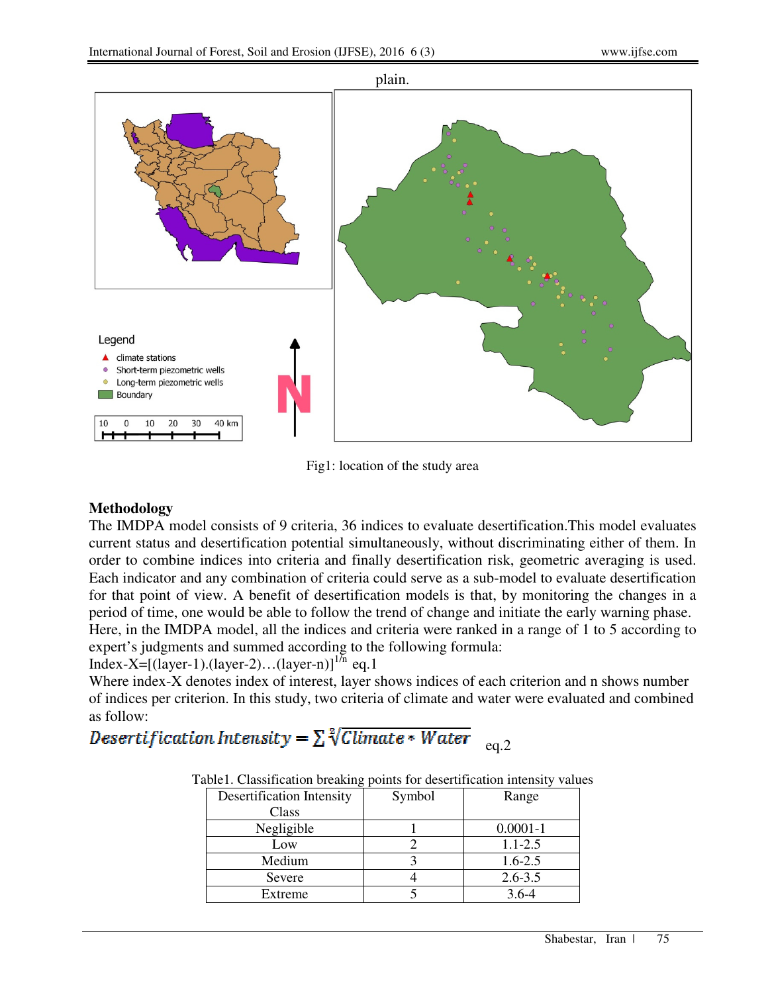

Fig1: location of the study area

## **Methodology**

The IMDPA model consists of 9 criteria, 36 indices to evaluate desertification.This model evaluates current status and desertification potential simultaneously, without discriminating either of them. In order to combine indices into criteria and finally desertification risk, geometric averaging is used. Each indicator and any combination of criteria could serve as a sub-model to evaluate desertification for that point of view. A benefit of desertification models is that, by monitoring the changes in a period of time, one would be able to follow the trend of change and initiate the early warning phase. Here, in the IMDPA model, all the indices and criteria were ranked in a range of 1 to 5 according to expert's judgments and summed according to the following formula:

Index-X= $[(layer-1).(layer-2)...(layer-n)]^{1/n}$  eq.1

Where index-X denotes index of interest, layer shows indices of each criterion and n shows number of indices per criterion. In this study, two criteria of climate and water were evaluated and combined as follow:

# Desertification Intensity =  $\sum \sqrt[2]{Climate * Water}$  <sub>eq.2</sub>

| able). Classification bleaking points for descrimination intensity value |        |              |  |  |  |  |
|--------------------------------------------------------------------------|--------|--------------|--|--|--|--|
| <b>Desertification Intensity</b>                                         | Symbol | Range        |  |  |  |  |
| Class                                                                    |        |              |  |  |  |  |
| Negligible                                                               |        | $0.0001 - 1$ |  |  |  |  |
| Low                                                                      |        | $1.1 - 2.5$  |  |  |  |  |
| Medium                                                                   |        | $1.6 - 2.5$  |  |  |  |  |
| Severe                                                                   |        | $2.6 - 3.5$  |  |  |  |  |
| Extreme                                                                  |        | $3.6 - 4$    |  |  |  |  |
|                                                                          |        |              |  |  |  |  |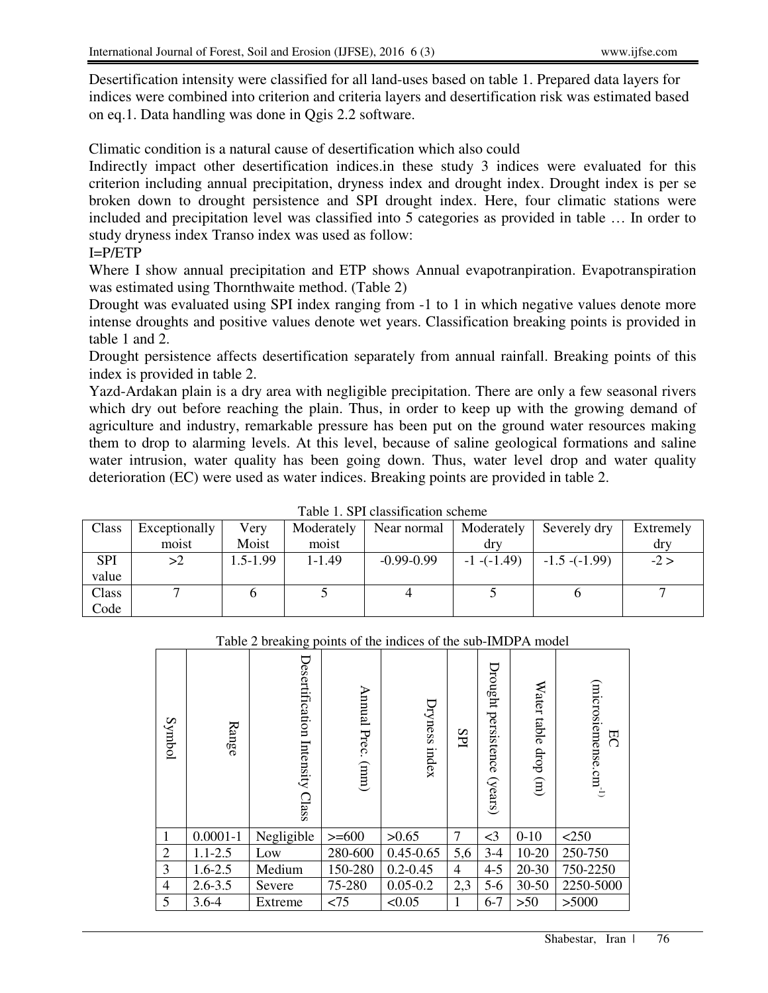Desertification intensity were classified for all land-uses based on table 1. Prepared data layers for indices were combined into criterion and criteria layers and desertification risk was estimated based on eq.1. Data handling was done in Qgis 2.2 software.

Climatic condition is a natural cause of desertification which also could

Indirectly impact other desertification indices.in these study 3 indices were evaluated for this criterion including annual precipitation, dryness index and drought index. Drought index is per se broken down to drought persistence and SPI drought index. Here, four climatic stations were included and precipitation level was classified into 5 categories as provided in table … In order to study dryness index Transo index was used as follow:

# I=P/ETP

Where I show annual precipitation and ETP shows Annual evapotranpiration. Evapotranspiration was estimated using Thornthwaite method. (Table 2)

Drought was evaluated using SPI index ranging from -1 to 1 in which negative values denote more intense droughts and positive values denote wet years. Classification breaking points is provided in table 1 and 2.

Drought persistence affects desertification separately from annual rainfall. Breaking points of this index is provided in table 2.

Yazd-Ardakan plain is a dry area with negligible precipitation. There are only a few seasonal rivers which dry out before reaching the plain. Thus, in order to keep up with the growing demand of agriculture and industry, remarkable pressure has been put on the ground water resources making them to drop to alarming levels. At this level, because of saline geological formations and saline water intrusion, water quality has been going down. Thus, water level drop and water quality deterioration (EC) were used as water indices. Breaking points are provided in table 2.

| Taone 1. Of 1 chassification scheme |               |              |            |                |                 |                   |           |
|-------------------------------------|---------------|--------------|------------|----------------|-----------------|-------------------|-----------|
| Class                               | Exceptionally | Very         | Moderately | Near normal    | Moderately      | Severely dry      | Extremely |
|                                     | moist         | Moist        | moist      |                | dry             |                   | dry       |
| <b>SPI</b>                          | >2            | $1.5 - 1.99$ | $1 - 1.49$ | $-0.99 - 0.99$ | $-1$ $-(-1.49)$ | $-1.5$ $-(-1.99)$ | $-2 >$    |
| value                               |               |              |            |                |                 |                   |           |
| Class                               |               |              |            |                |                 |                   |           |
| Code                                |               |              |            |                |                 |                   |           |

Table 1. SPI classification scheme

## Table 2 breaking points of the indices of the sub-IMDPA model

|   | Symbol         | Range        | Desertification<br>Intensity<br>Class | Annual<br>Prec.<br>(mm) | Dryness index | SPI | Drought<br>persistence<br>(years) | Water table<br>$\text{drop}(\text{m})$ | $(microsicmensc.cm^{-1})$<br>RC |
|---|----------------|--------------|---------------------------------------|-------------------------|---------------|-----|-----------------------------------|----------------------------------------|---------------------------------|
|   | 1              | $0.0001 - 1$ | Negligible                            | $>= 600$                | >0.65         | 7   | $\leq$ 3                          | $0 - 10$                               | < 250                           |
|   | $\overline{2}$ | $1.1 - 2.5$  | Low                                   | 280-600                 | $0.45 - 0.65$ | 5,6 | $3-4$                             | $10 - 20$                              | 250-750                         |
|   | 3              | $1.6 - 2.5$  | Medium                                | 150-280                 | $0.2 - 0.45$  | 4   | $4 - 5$                           | $20 - 30$                              | 750-2250                        |
|   | $\overline{4}$ | $2.6 - 3.5$  | Severe                                | 75-280                  | $0.05 - 0.2$  | 2,3 | $5-6$                             | $30 - 50$                              | 2250-5000                       |
| 5 |                | $3.6 - 4$    | Extreme                               | < 75                    | < 0.05        |     | $6 - 7$                           | $>50$                                  | >5000                           |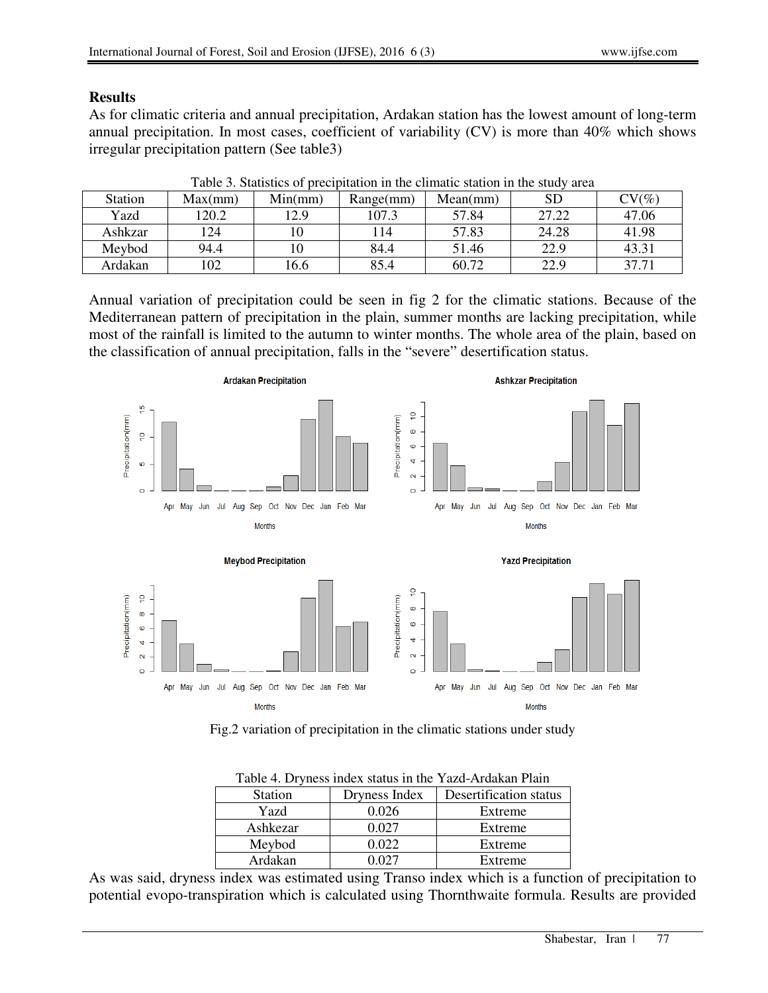#### **Results**

As for climatic criteria and annual precipitation, Ardakan station has the lowest amount of long-term annual precipitation. In most cases, coefficient of variability (CV) is more than 40% which shows irregular precipitation pattern (See table3)

| Station | Max(mm) | Min(mm) | Range(mm) | Mean(mm) | SD    | $\mathrm{CV}(\%)$ |
|---------|---------|---------|-----------|----------|-------|-------------------|
| Yazd    | 120.2   | 12.9    | 107.3     | 57.84    | 27.22 | 47.06             |
|         |         |         |           |          |       |                   |
| Ashkzar | 124     |         | 114       | 57.83    | 24.28 | 41.98             |
| Meybod  | 94.4    |         | 84.4      | 51.46    | 22.9  | 43.31             |
| Ardakan | 102     | 16.6    | 85.4      | 60.72    | 22.9  | 37.71             |

Table 3. Statistics of precipitation in the climatic station in the study area

Annual variation of precipitation could be seen in fig 2 for the climatic stations. Because of the Mediterranean pattern of precipitation in the plain, summer months are lacking precipitation, while most of the rainfall is limited to the autumn to winter months. The whole area of the plain, based on the classification of annual precipitation, falls in the "severe" desertification status.



Fig.2 variation of precipitation in the climatic stations under study

|                | Table 4. Diviless midex status in the Taza-Articakan Plann |                        |  |  |
|----------------|------------------------------------------------------------|------------------------|--|--|
| <b>Station</b> | Dryness Index                                              | Desertification status |  |  |
| Yazd           | 0.026                                                      | Extreme                |  |  |
| Ashkezar       | 0.027                                                      | Extreme                |  |  |
| Meybod         | 0.022                                                      | Extreme                |  |  |
| Ardakan        | ) በ27                                                      | Extreme                |  |  |

Table 4. Dryness index status in the Yazd-Ardakan Plain

As was said, dryness index was estimated using Transo index which is a function of precipitation to potential evopo-transpiration which is calculated using Thornthwaite formula. Results are provided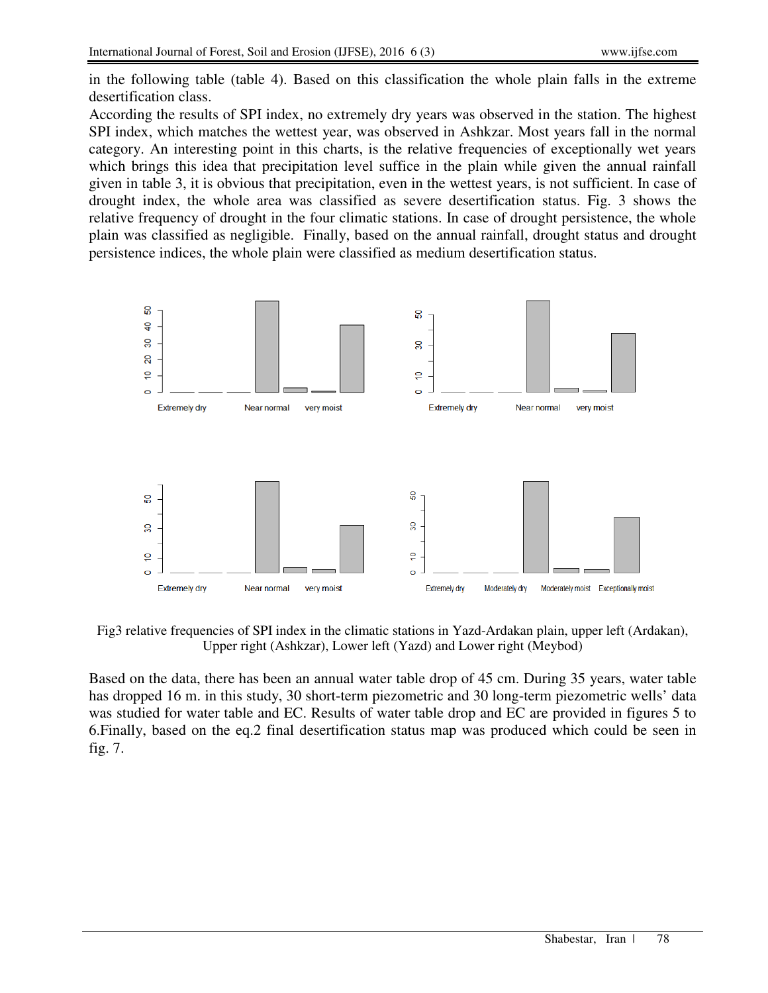in the following table (table 4). Based on this classification the whole plain falls in the extreme desertification class.

According the results of SPI index, no extremely dry years was observed in the station. The highest SPI index, which matches the wettest year, was observed in Ashkzar. Most years fall in the normal category. An interesting point in this charts, is the relative frequencies of exceptionally wet years which brings this idea that precipitation level suffice in the plain while given the annual rainfall given in table 3, it is obvious that precipitation, even in the wettest years, is not sufficient. In case of drought index, the whole area was classified as severe desertification status. Fig. 3 shows the relative frequency of drought in the four climatic stations. In case of drought persistence, the whole plain was classified as negligible. Finally, based on the annual rainfall, drought status and drought persistence indices, the whole plain were classified as medium desertification status.



Fig3 relative frequencies of SPI index in the climatic stations in Yazd-Ardakan plain, upper left (Ardakan), Upper right (Ashkzar), Lower left (Yazd) and Lower right (Meybod)

Based on the data, there has been an annual water table drop of 45 cm. During 35 years, water table has dropped 16 m. in this study, 30 short-term piezometric and 30 long-term piezometric wells' data was studied for water table and EC. Results of water table drop and EC are provided in figures 5 to 6.Finally, based on the eq.2 final desertification status map was produced which could be seen in fig. 7.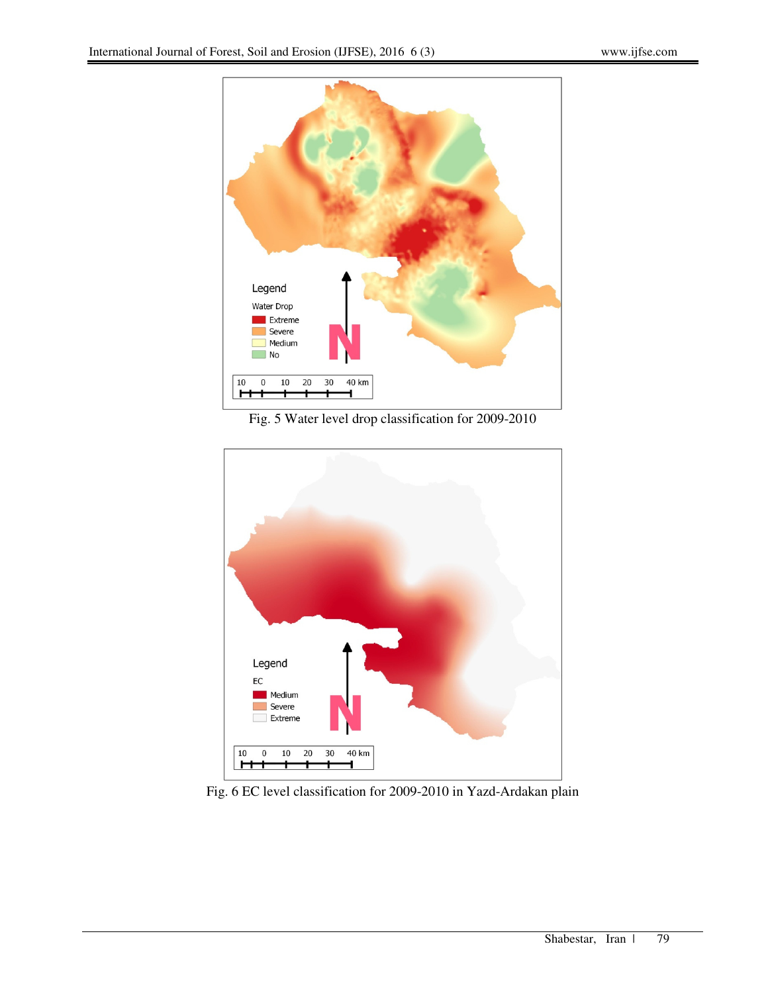

Fig. 5 Water level drop classification for 2009-2010



Fig. 6 EC level classification for 2009-2010 in Yazd-Ardakan plain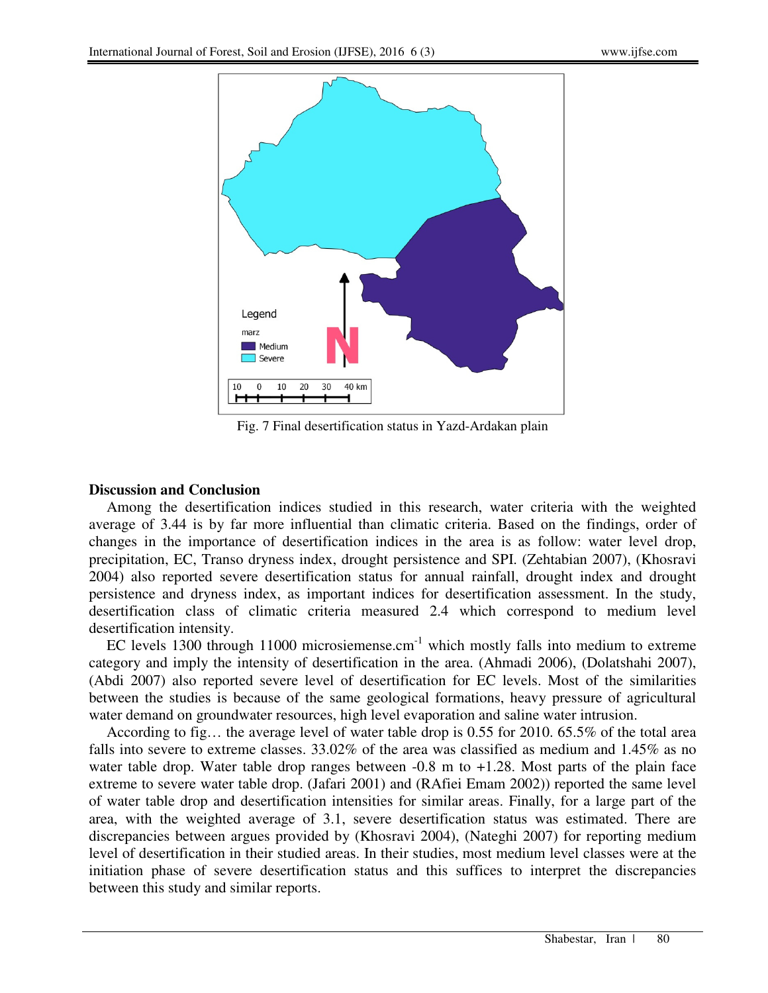

Fig. 7 Final desertification status in Yazd-Ardakan plain

## **Discussion and Conclusion**

Among the desertification indices studied in this research, water criteria with the weighted average of 3.44 is by far more influential than climatic criteria. Based on the findings, order of changes in the importance of desertification indices in the area is as follow: water level drop, precipitation, EC, Transo dryness index, drought persistence and SPI. (Zehtabian 2007), (Khosravi 2004) also reported severe desertification status for annual rainfall, drought index and drought persistence and dryness index, as important indices for desertification assessment. In the study, desertification class of climatic criteria measured 2.4 which correspond to medium level desertification intensity.

EC levels 1300 through 11000 microsiemense.cm<sup>-1</sup> which mostly falls into medium to extreme category and imply the intensity of desertification in the area. (Ahmadi 2006), (Dolatshahi 2007), (Abdi 2007) also reported severe level of desertification for EC levels. Most of the similarities between the studies is because of the same geological formations, heavy pressure of agricultural water demand on groundwater resources, high level evaporation and saline water intrusion.

According to fig… the average level of water table drop is 0.55 for 2010. 65.5% of the total area falls into severe to extreme classes. 33.02% of the area was classified as medium and 1.45% as no water table drop. Water table drop ranges between -0.8 m to +1.28. Most parts of the plain face extreme to severe water table drop. (Jafari 2001) and (RAfiei Emam 2002)) reported the same level of water table drop and desertification intensities for similar areas. Finally, for a large part of the area, with the weighted average of 3.1, severe desertification status was estimated. There are discrepancies between argues provided by (Khosravi 2004), (Nateghi 2007) for reporting medium level of desertification in their studied areas. In their studies, most medium level classes were at the initiation phase of severe desertification status and this suffices to interpret the discrepancies between this study and similar reports.